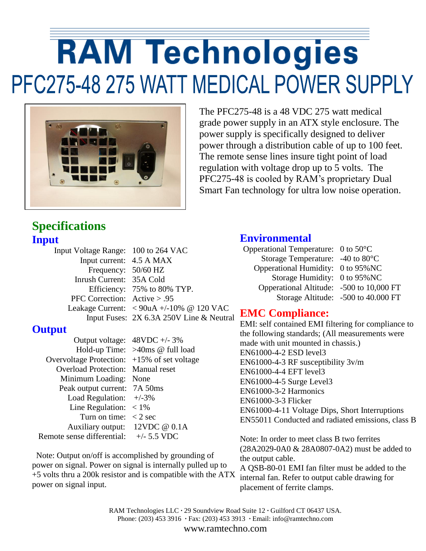# **RAM Technologies** PFC275-48 275 WATT MEDICAL POWER SUPPLY



The PFC275-48 is a 48 VDC 275 watt medical grade power supply in an ATX style enclosure. The power supply is specifically designed to deliver power through a distribution cable of up to 100 feet. The remote sense lines insure tight point of load regulation with voltage drop up to 5 volts. The PFC275-48 is cooled by RAM's proprietary Dual Smart Fan technology for ultra low noise operation.

### **Specifications Input**

| Efficiency: 75% to 80% TYP.                                                                                                                            |
|--------------------------------------------------------------------------------------------------------------------------------------------------------|
|                                                                                                                                                        |
| Leakage Current: $\langle 90uA +10\% \ @ 120 \text{ VAC} \rangle$                                                                                      |
| Input Fuses: 2X 6.3A 250V Line & Neutral                                                                                                               |
| Input Voltage Range: 100 to 264 VAC<br>Input current: 4.5 A MAX<br>Frequency: $50/60$ HZ<br>Inrush Current: 35A Cold<br>PFC Correction: $Active > .95$ |

### **Output**

 Output voltage: 48VDC +/- 3% Hold-up Time: >40ms @ full load Overvoltage Protection: +15% of set voltage Overload Protection: Manual reset Minimum Loading: None Peak output current: 7A 50ms Load Regulation:  $+/-3\%$ Line Regulation:  $\langle 1\% \rangle$ Turn on time:  $\langle 2 \text{ sec}$  Auxiliary output: 12VDC @ 0.1A Remote sense differential:  $+/- 5.5 \text{ VDC}$ 

 Note: Output on/off is accomplished by grounding of power on signal. Power on signal is internally pulled up to +5 volts thru a 200k resistor and is compatible with the ATX power on signal input.

#### **Environmental**

| Opperational Temperature: $0$ to 50 °C   |                                     |
|------------------------------------------|-------------------------------------|
| Storage Temperature: -40 to 80°C         |                                     |
| Opperational Humidity: 0 to 95% NC       |                                     |
| Storage Humidity: 0 to 95% NC            |                                     |
| Opperational Altitude: -500 to 10,000 FT |                                     |
|                                          | Storage Altitude: -500 to 40.000 FT |

### **EMC Compliance:**

EMI: self contained EMI filtering for compliance to the following standards; (All measurements were made with unit mounted in chassis.) EN61000-4-2 ESD level3 EN61000-4-3 RF susceptibility 3v/m EN61000-4-4 EFT level3 EN61000-4-5 Surge Level3 EN61000-3-2 Harmonics EN61000-3-3 Flicker EN61000-4-11 Voltage Dips, Short Interruptions EN55011 Conducted and radiated emissions, class B

Note: In order to meet class B two ferrites (28A2029-0A0 & 28A0807-0A2) must be added to the output cable. A QSB-80-01 EMI fan filter must be added to the

internal fan. Refer to output cable drawing for placement of ferrite clamps.

RAM Technologies LLC **·** 29 Soundview Road Suite 12 **·** Guilford CT 06437 USA. Phone: (203) 453 3916 **·** Fax: (203) 453 3913 **·** Email: info@ramtechno.com www.ramtechno.com